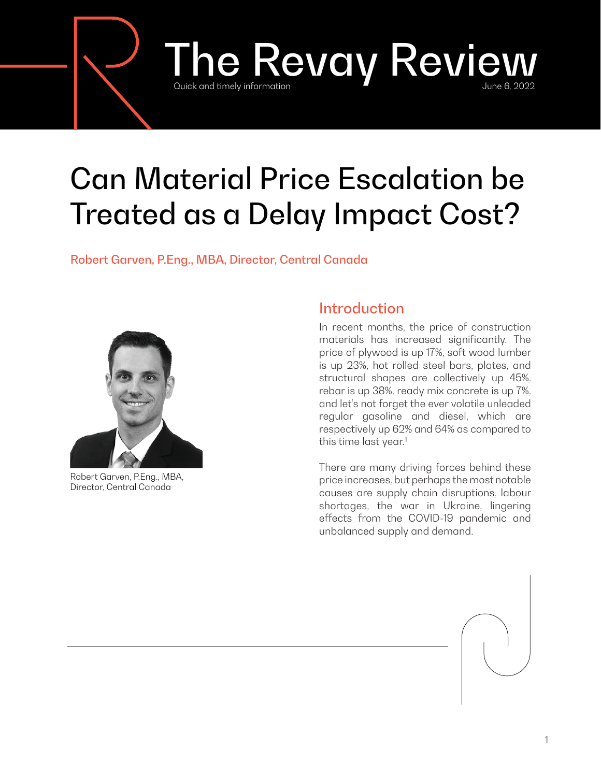# The Revay Review information

# Can Material Price Escalation be Treated as a Delay Impact Cost?

Robert Garven, P.Eng., MBA, Director, Central Canada



Robert Garven, P.Eng., MBA, Director, Central Canada

## Introduction

In recent months, the price of construction materials has increased significantly. The price of plywood is up 17%, soft wood lumber is up 23%, hot rolled steel bars, plates, and structural shapes are collectively up 45%, rebar is up 38%, ready mix concrete is up 7%, and let's not forget the ever volatile unleaded regular gasoline and diesel, which are respectively up 62% and 64% as compared to this time last year.<sup>1</sup>

There are many driving forces behind these price increases, but perhaps the most notable causes are supply chain disruptions, labour shortages, the war in Ukraine, lingering effects from the COVID-19 pandemic and unbalanced supply and demand.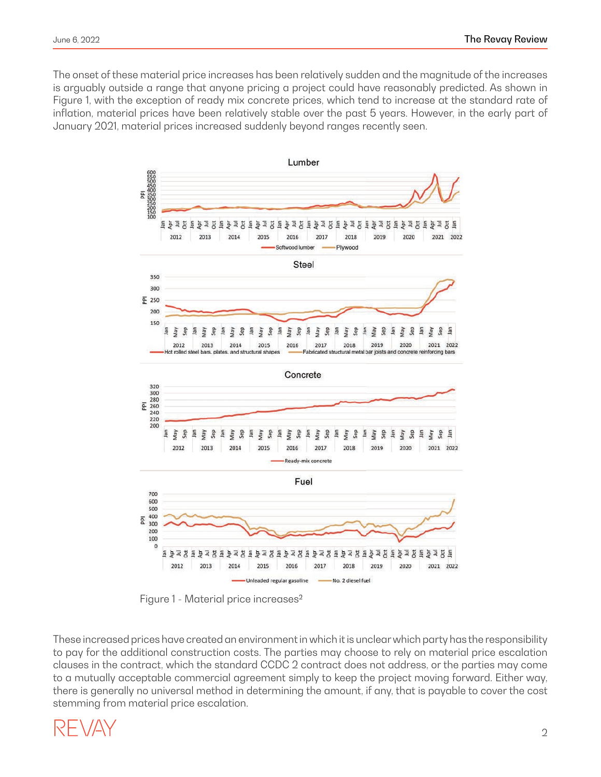The onset of these material price increases has been relatively sudden and the magnitude of the increases is arguably outside a range that anyone pricing a project could have reasonably predicted. As shown in Figure 1, with the exception of ready mix concrete prices, which tend to increase at the standard rate of inflation, material prices have been relatively stable over the past 5 years. However, in the early part of January 2021, material prices increased suddenly beyond ranges recently seen.



Figure 1 - Material price increases<sup>2</sup>

These increased prices have created an environment in which it is unclear which party has the responsibility to pay for the additional construction costs. The parties may choose to rely on material price escalation clauses in the contract, which the standard CCDC 2 contract does not address, or the parties may come to a mutually acceptable commercial agreement simply to keep the project moving forward. Either way, there is generally no universal method in determining the amount, if any, that is payable to cover the cost stemming from material price escalation.

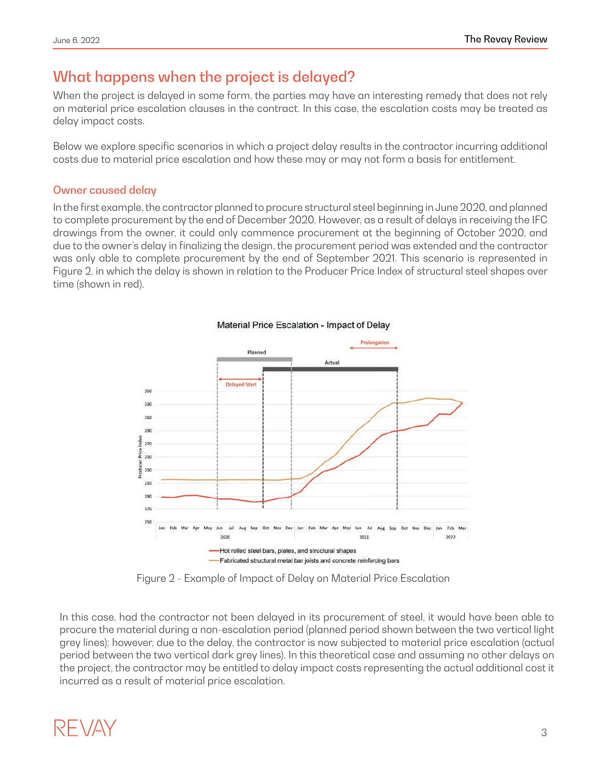### What happens when the project is delayed?

When the project is delayed in some form, the parties may have an interesting remedy that does not rely on material price escalation clauses in the contract. In this case, the escalation costs may be treated as delay impact costs.

Below we explore specific scenarios in which a project delay results in the contractor incurring additional costs due to material price escalation and how these may or may not form a basis for entitlement.

#### Owner caused delay

In the first example, the contractor planned to procure structural steel beginning in June 2020, and planned to complete procurement by the end of December 2020. However, as a result of delays in receiving the IFC drawings from the owner, it could only commence procurement at the beginning of October 2020, and due to the owner's delay in finalizing the design, the procurement period was extended and the contractor was only able to complete procurement by the end of September 2021. This scenario is represented in Figure 2, in which the delay is shown in relation to the Producer Price Index of structural steel shapes over time (shown in red).



#### Material Price Escalation - Impact of Delay

Figure 2 - Example of Impact of Delay on Material Price Escalation

In this case, had the contractor not been delayed in its procurement of steel, it would have been able to procure the material during a non-escalation period (planned period shown between the two vertical light grey lines); however, due to the delay, the contractor is now subjected to material price escalation (actual period between the two vertical dark grey lines). In this theoretical case and assuming no other delays on the project, the contractor may be entitled to delay impact costs representing the actual additional cost it incurred as a result of material price escalation.